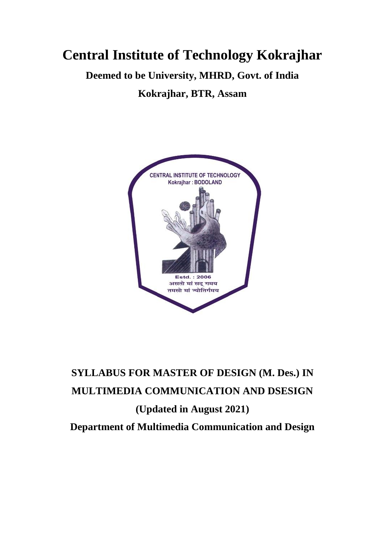# **Central Institute of Technology Kokrajhar**

**Deemed to be University, MHRD, Govt. of India**

**Kokrajhar, BTR, Assam**



# **SYLLABUS FOR MASTER OF DESIGN (M. Des.) IN MULTIMEDIA COMMUNICATION AND DSESIGN (Updated in August 2021) Department of Multimedia Communication and Design**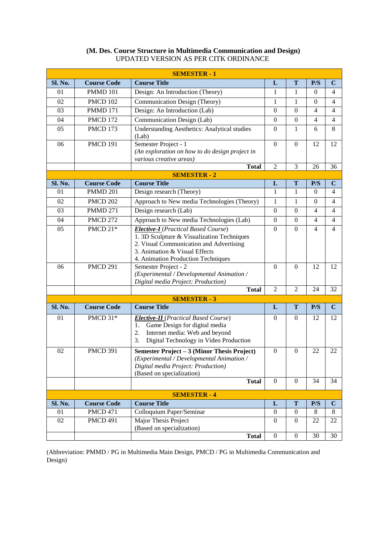| (M. Des. Course Structure in Multimedia Communication and Design) |
|-------------------------------------------------------------------|
| UPDATED VERSION AS PER CITK ORDINANCE                             |

| <b>SEMESTER - 1</b>                                                                          |                    |                                                                                                                                                                                                            |                  |                  |                  |             |  |  |
|----------------------------------------------------------------------------------------------|--------------------|------------------------------------------------------------------------------------------------------------------------------------------------------------------------------------------------------------|------------------|------------------|------------------|-------------|--|--|
| Sl. No.                                                                                      | <b>Course Code</b> | <b>Course Title</b>                                                                                                                                                                                        | L                | T                | P/S              | $\mathbf C$ |  |  |
| 01                                                                                           | <b>PMMD 101</b>    | Design: An Introduction (Theory)                                                                                                                                                                           |                  | $\mathbf{1}$     | $\theta$         | 4           |  |  |
| 02                                                                                           | <b>PMCD 102</b>    | Communication Design (Theory)                                                                                                                                                                              |                  | 1                | $\boldsymbol{0}$ | 4           |  |  |
| 03                                                                                           | <b>PMMD 171</b>    | Design: An Introduction (Lab)                                                                                                                                                                              |                  | $\boldsymbol{0}$ | 4                | 4           |  |  |
| 04                                                                                           | <b>PMCD 172</b>    | <b>Communication Design (Lab)</b>                                                                                                                                                                          |                  | $\overline{0}$   | 4                | 4           |  |  |
| 05                                                                                           | PMCD 173           | <b>Understanding Aesthetics: Analytical studies</b><br>(Lab)                                                                                                                                               |                  | 1                | 6                | 8           |  |  |
| 06                                                                                           | <b>PMCD 191</b>    | Semester Project - 1<br>(An exploration on how to do design project in<br>various creative areas)                                                                                                          | $\boldsymbol{0}$ | $\Omega$         | 12               | 12          |  |  |
|                                                                                              |                    | <b>Total</b>                                                                                                                                                                                               | $\overline{2}$   | 3                | 26               | 36          |  |  |
|                                                                                              |                    | <b>SEMESTER - 2</b>                                                                                                                                                                                        |                  |                  |                  |             |  |  |
| Sl. No.                                                                                      | <b>Course Code</b> | <b>Course Title</b>                                                                                                                                                                                        | L                | T                | P/S              | $\mathbf C$ |  |  |
| 01                                                                                           | <b>PMMD 201</b>    | Design research (Theory)                                                                                                                                                                                   | 1                | 1                | 0                | 4           |  |  |
| 02                                                                                           | <b>PMCD 202</b>    | Approach to New media Technologies (Theory)                                                                                                                                                                | 1                | $\mathbf{1}$     | $\boldsymbol{0}$ | 4           |  |  |
| 03                                                                                           | <b>PMMD 271</b>    | Design research (Lab)                                                                                                                                                                                      | $\boldsymbol{0}$ | $\boldsymbol{0}$ | 4                | 4           |  |  |
| 04                                                                                           | <b>PMCD 272</b>    | Approach to New media Technologies (Lab)                                                                                                                                                                   | $\boldsymbol{0}$ | $\boldsymbol{0}$ | $\overline{4}$   | 4           |  |  |
| 05                                                                                           | PMCD 21*           | <b>Elective-I</b> (Practical Based Course)<br>1. 3D Sculpture & Visualization Techniques<br>2. Visual Communication and Advertising<br>3. Animation & Visual Effects<br>4. Animation Production Techniques | $\mathbf{0}$     | $\Omega$         | $\overline{4}$   | 4           |  |  |
| 06                                                                                           | <b>PMCD 291</b>    | Semester Project - 2<br>(Experimental / Developmental Animation /<br>Digital media Project: Production)                                                                                                    | $\overline{0}$   | $\overline{0}$   | 12               | 12          |  |  |
|                                                                                              |                    | <b>Total</b>                                                                                                                                                                                               | $\overline{2}$   | $\overline{2}$   | 24               | 32          |  |  |
| <b>SEMESTER - 3</b><br>Sl. No.<br><b>Course Code</b><br><b>Course Title</b><br>L<br>T<br>P/S |                    |                                                                                                                                                                                                            |                  |                  |                  |             |  |  |
|                                                                                              |                    |                                                                                                                                                                                                            |                  |                  |                  | $\mathbf C$ |  |  |
| 01                                                                                           | PMCD 31*           | <b>Elective-II</b> (Practical Based Course)<br>Game Design for digital media<br>1.<br>Internet media: Web and beyond<br>2.<br>Digital Technology in Video Production<br>3.                                 | $\theta$         | $\overline{0}$   | 12               | 12          |  |  |
| 02                                                                                           | <b>PMCD 391</b>    | Semester Project - 3 (Minor Thesis Project)<br>(Experimental / Developmental Animation /<br>Digital media Project: Production)<br>(Based on specialization)                                                | $\boldsymbol{0}$ | $\mathbf{0}$     | 22               | 22          |  |  |
|                                                                                              |                    | <b>Total</b>                                                                                                                                                                                               | $\boldsymbol{0}$ | $\mathbf{0}$     | 34               | 34          |  |  |
| <b>SEMESTER - 4</b>                                                                          |                    |                                                                                                                                                                                                            |                  |                  |                  |             |  |  |
| Sl. No.                                                                                      | <b>Course Code</b> | <b>Course Title</b>                                                                                                                                                                                        | L                | T                | P/S              | $\mathbf C$ |  |  |
| 01                                                                                           | <b>PMCD 471</b>    | Colloquium Paper/Seminar                                                                                                                                                                                   | $\boldsymbol{0}$ | $\mathbf{0}$     | 8                | 8           |  |  |
| 02                                                                                           | <b>PMCD 491</b>    | Major Thesis Project<br>(Based on specialization)                                                                                                                                                          | $\mathbf{0}$     | $\mathbf{0}$     | 22               | 22          |  |  |
|                                                                                              |                    | <b>Total</b>                                                                                                                                                                                               | $\boldsymbol{0}$ | $\boldsymbol{0}$ | 30               | 30          |  |  |

(Abbreviation: PMMD / PG in Multimedia Main Design, PMCD / PG in Multimedia Communication and Design)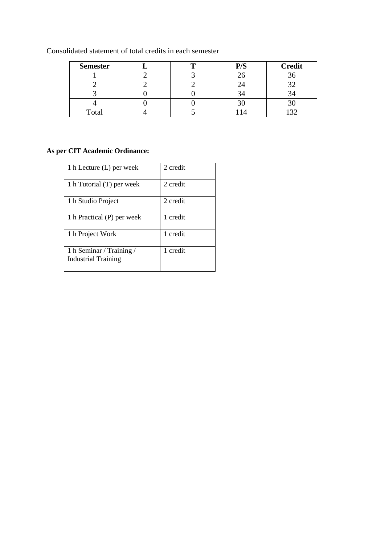Consolidated statement of total credits in each semester

| <b>Semester</b> | m | P/S | <b>Credit</b> |
|-----------------|---|-----|---------------|
|                 |   |     |               |
|                 |   |     |               |
|                 |   |     |               |
|                 |   |     |               |
| Total           |   |     |               |

# **As per CIT Academic Ordinance:**

| 1 h Lecture (L) per week                               | 2 credit |
|--------------------------------------------------------|----------|
| 1 h Tutorial (T) per week                              | 2 credit |
| 1 h Studio Project                                     | 2 credit |
| 1 h Practical (P) per week                             | 1 credit |
| 1 h Project Work                                       | 1 credit |
| 1 h Seminar / Training /<br><b>Industrial Training</b> | 1 credit |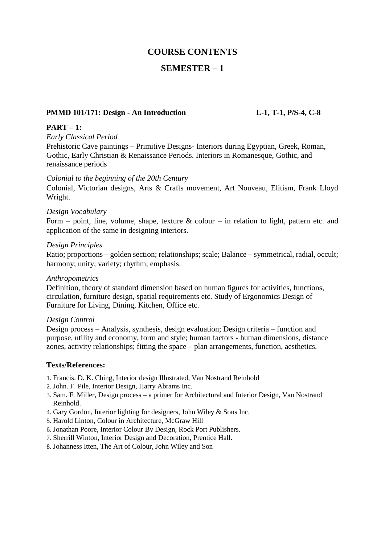## **COURSE CONTENTS**

# **SEMESTER – 1**

#### **PMMD 101/171: Design - An Introduction L-1, T-1, P/S-4, C-8**

#### **PART – 1:**

#### *Early Classical Period*

Prehistoric Cave paintings – Primitive Designs- Interiors during Egyptian, Greek, Roman, Gothic, Early Christian & Renaissance Periods. Interiors in Romanesque, Gothic, and renaissance periods

#### *Colonial to the beginning of the 20th Century*

Colonial, Victorian designs, Arts & Crafts movement, Art Nouveau, Elitism, Frank Lloyd Wright.

#### *Design Vocabulary*

Form – point, line, volume, shape, texture  $\&$  colour – in relation to light, pattern etc. and application of the same in designing interiors.

#### *Design Principles*

Ratio; proportions – golden section; relationships; scale; Balance – symmetrical, radial, occult; harmony; unity; variety; rhythm; emphasis.

#### *Anthropometrics*

Definition, theory of standard dimension based on human figures for activities, functions, circulation, furniture design, spatial requirements etc. Study of Ergonomics Design of Furniture for Living, Dining, Kitchen, Office etc.

#### *Design Control*

Design process – Analysis, synthesis, design evaluation; Design criteria – function and purpose, utility and economy, form and style; human factors - human dimensions, distance zones, activity relationships; fitting the space – plan arrangements, function, aesthetics.

#### **Texts/References:**

- 1. Francis. D. K. Ching, Interior design Illustrated, Van Nostrand Reinhold
- 2. John. F. Pile, Interior Design, Harry Abrams Inc.
- 3. Sam. F. Miller, Design process a primer for Architectural and Interior Design, Van Nostrand Reinhold.
- 4. Gary Gordon, Interior lighting for designers, John Wiley & Sons Inc.
- 5. Harold Linton, Colour in Architecture, McGraw Hill
- 6. Jonathan Poore, Interior Colour By Design, Rock Port Publishers.
- 7. Sherrill Winton, Interior Design and Decoration, Prentice Hall.
- 8. Johanness Itten, The Art of Colour, John Wiley and Son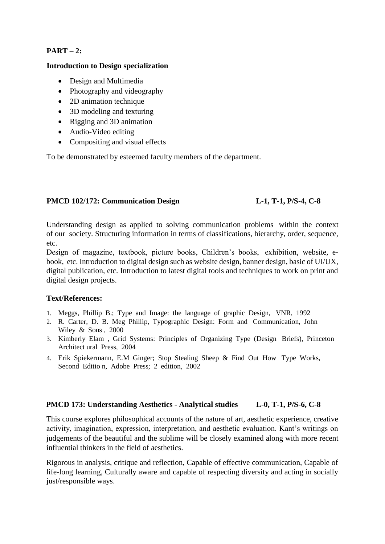# **PART – 2:**

#### **Introduction to Design specialization**

- Design and Multimedia
- Photography and videography
- 2D animation technique
- 3D modeling and texturing
- Rigging and 3D animation
- Audio-Video editing
- Compositing and visual effects

To be demonstrated by esteemed faculty members of the department.

#### **PMCD 102/172: Communication Design L-1, T-1, P/S-4, C-8**

Understanding design as applied to solving communication problems within the context of our society. Structuring information in terms of classifications, hierarchy, order, sequence, etc.

Design of magazine, textbook, picture books, Children's books, exhibition, website, ebook, etc. Introduction to digital design such as website design, banner design, basic of UI/UX, digital publication, etc. Introduction to latest digital tools and techniques to work on print and digital design projects.

### **Text/References:**

- 1. Meggs, Phillip B.; Type and Image: the language of graphic Design, VNR, 1992
- 2. R. Carter, D. B. Meg Phillip, Typographic Design: Form and Communication, John Wiley & Sons , 2000
- 3. Kimberly Elam , Grid Systems: Principles of Organizing Type (Design Briefs), Princeton Architect ural Press, 2004
- 4. Erik Spiekermann, E.M Ginger; Stop Stealing Sheep & Find Out How Type Works, Second Editio n, Adobe Press; 2 edition, 2002

#### **PMCD 173: Understanding [Aesthetics](http://srishti.ac.in/disciplines/aesthetics-and-critical-studies) - Analytical studies L-0, T-1, P/S-6, C-8**

This course explores philosophical accounts of the nature of art, aesthetic experience, creative activity, imagination, expression, interpretation, and aesthetic evaluation. Kant's writings on judgements of the beautiful and the sublime will be closely examined along with more recent influential thinkers in the field of aesthetics.

Rigorous in analysis, critique and reflection, Capable of effective communication, Capable of life-long learning, Culturally aware and capable of respecting diversity and acting in socially just/responsible ways.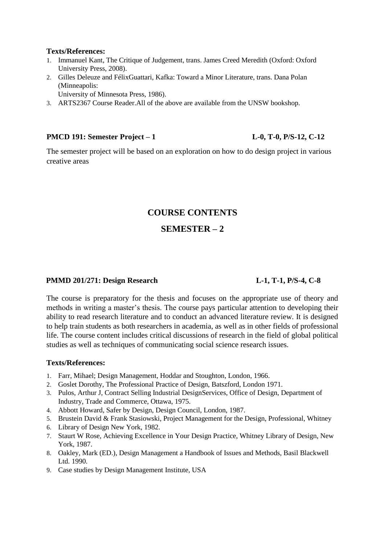#### **Texts/References:**

- 1. Immanuel Kant, The Critique of Judgement, trans. James Creed Meredith (Oxford: Oxford University Press, 2008).
- 2. Gilles Deleuze and FélixGuattari, Kafka: Toward a Minor Literature, trans. Dana Polan (Minneapolis:

University of Minnesota Press, 1986).

3. ARTS2367 Course Reader.All of the above are available from the UNSW bookshop.

#### **PMCD 191: Semester Project – 1 L-0, T-0, P/S-12, C-12**

The semester project will be based on an exploration on how to do design project in various creative areas

# **COURSE CONTENTS**

# **SEMESTER – 2**

#### **PMMD 201/271: Design Research L-1, T-1, P/S-4, C-8**

The course is preparatory for the thesis and focuses on the appropriate use of theory and methods in writing a master's thesis. The course pays particular attention to developing their ability to read research literature and to conduct an advanced literature review. It is designed to help train students as both researchers in academia, as well as in other fields of professional life. The course content includes critical discussions of research in the field of global political studies as well as techniques of communicating social science research issues.

### **Texts/References:**

- 1. Farr, Mihael; Design Management, Hoddar and Stoughton, London, 1966.
- 2. Goslet Dorothy, The Professional Practice of Design, Batszford, London 1971.
- 3. Pulos, Arthur J, Contract Selling Industrial DesignServices, Office of Design, Department of Industry, Trade and Commerce, Ottawa, 1975.
- 4. Abbott Howard, Safer by Design, Design Council, London, 1987.
- 5. Brustein David & Frank Stasiowski, Project Management for the Design, Professional, Whitney
- 6. Library of Design New York, 1982.
- 7. Staurt W Rose, Achieving Excellence in Your Design Practice, Whitney Library of Design, New York, 1987.
- 8. Oakley, Mark (ED.), Design Management a Handbook of Issues and Methods, Basil Blackwell Ltd. 1990.
- 9. Case studies by Design Management Institute, USA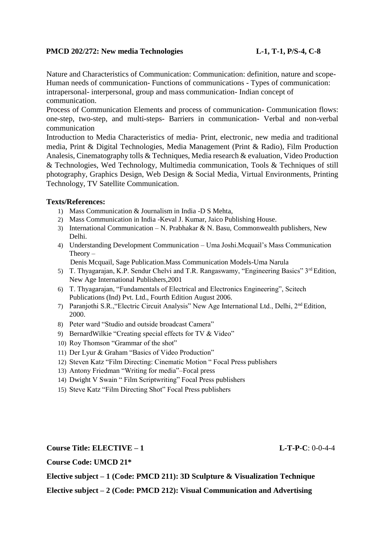#### **PMCD 202/272: New media Technologies L-1, T-1, P/S-4, C-8**

Nature and Characteristics of Communication: Communication: definition, nature and scope-Human needs of communication- Functions of communications - Types of communication: intrapersonal- interpersonal, group and mass communication- Indian concept of communication.

Process of Communication Elements and process of communication- Communication flows: one-step, two-step, and multi-steps- Barriers in communication- Verbal and non-verbal communication

Introduction to Media Characteristics of media- Print, electronic, new media and traditional media, Print & Digital Technologies, Media Management (Print & Radio), Film Production Analesis, Cinematography tolls & Techniques, Media research & evaluation, Video Production & Technologies, Wed Technology, Multimedia communication, Tools & Techniques of still photography, Graphics Design, Web Design & Social Media, Virtual Environments, Printing Technology, TV Satellite Communication.

### **Texts/References:**

- 1) Mass Communication & Journalism in India -D S Mehta,
- 2) Mass Communication in India -Keval J. Kumar, Jaico Publishing House.
- 3) International Communication N. Prabhakar & N. Basu, Commonwealth publishers, New Delhi.
- 4) Understanding Development Communication Uma Joshi.Mcquail's Mass Communication Theory –
	- Denis Mcquail, Sage Publication.Mass Communication Models-Uma Narula
- 5) T. Thyagarajan, K.P. Sendur Chelvi and T.R. Rangaswamy, "Engineering Basics" 3rd Edition, New Age International Publishers,2001
- 6) T. Thyagarajan, "Fundamentals of Electrical and Electronics Engineering", Scitech Publications (Ind) Pvt. Ltd., Fourth Edition August 2006.
- 7) Paranjothi S.R.,"Electric Circuit Analysis" New Age International Ltd., Delhi, 2nd Edition, 2000.
- 8) Peter ward "Studio and outside broadcast Camera"
- 9) BernardWilkie "Creating special effects for TV & Video"
- 10) Roy Thomson "Grammar of the shot"
- 11) Der Lyur & Graham "Basics of Video Production"
- 12) Steven Katz "Film Directing: Cinematic Motion " Focal Press publishers
- 13) Antony Friedman "Writing for media"–Focal press
- 14) Dwight V Swain " Film Scriptwriting" Focal Press publishers
- 15) Steve Katz "Film Directing Shot" Focal Press publishers

**Course Title: ELECTIVE – 1 L-T-P-C**: 0-0-4-4

**Course Code: UMCD 21\***

**Elective subject – 1 (Code: PMCD 211): 3D Sculpture & Visualization Technique**

**Elective subject – 2 (Code: PMCD 212): Visual Communication and Advertising**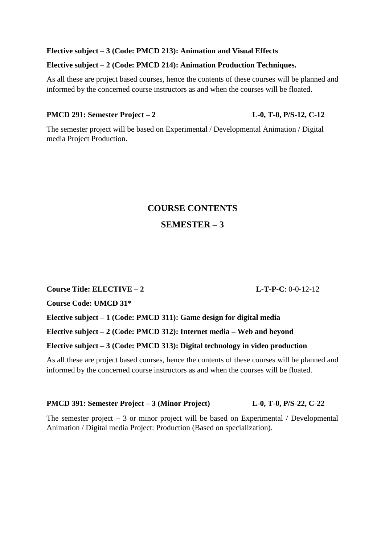### **Elective subject – 3 (Code: PMCD 213): Animation and Visual Effects**

### **Elective subject – 2 (Code: PMCD 214): Animation Production Techniques.**

As all these are project based courses, hence the contents of these courses will be planned and informed by the concerned course instructors as and when the courses will be floated.

#### **PMCD 291: Semester Project – 2 L-0, T-0, P/S-12, C-12**

The semester project will be based on Experimental / Developmental Animation / Digital media Project Production.

# **COURSE CONTENTS**

# **SEMESTER – 3**

**Course Title: ELECTIVE – 2 L-T-P-C**: 0-0-12-12

**Course Code: UMCD 31\***

**Elective subject – 1 (Code: PMCD 311): Game design for digital media**

**Elective subject – 2 (Code: PMCD 312): Internet media – Web and beyond**

**Elective subject – 3 (Code: PMCD 313): Digital technology in video production**

As all these are project based courses, hence the contents of these courses will be planned and informed by the concerned course instructors as and when the courses will be floated.

**PMCD 391: Semester Project – 3 (Minor Project) L-0, T-0, P/S-22, C-22**

The semester project  $-3$  or minor project will be based on Experimental / Developmental Animation / Digital media Project: Production (Based on specialization).